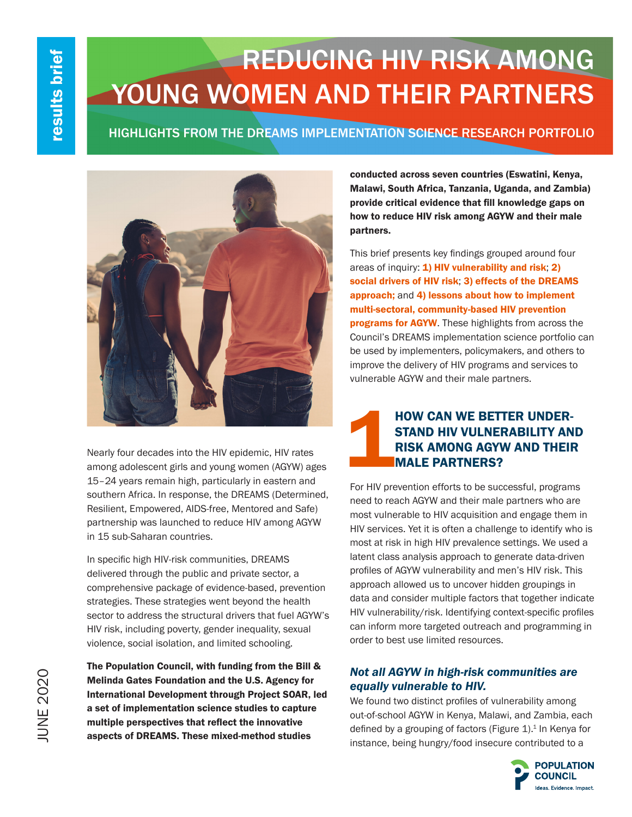# REDUCING HIV RISK AMONG YOUNG WOMEN AND THEIR PARTNERS

HIGHLIGHTS FROM THE DREAMS IMPLEMENTATION SCIENCE RESEARCH PORTFOLIO



Nearly four decades into the HIV epidemic, HIV rates among adolescent girls and young women (AGYW) ages 15–24 years remain high, particularly in eastern and southern Africa. In response, the DREAMS (Determined, Resilient, Empowered, AIDS-free, Mentored and Safe) partnership was launched to reduce HIV among AGYW in 15 sub-Saharan countries.

In specific high HIV-risk communities, DREAMS delivered through the public and private sector, a comprehensive package of evidence-based, prevention strategies. These strategies went beyond the health sector to address the structural drivers that fuel AGYW's HIV risk, including poverty, gender inequality, sexual violence, social isolation, and limited schooling.

The Population Council, with funding from the Bill & Melinda Gates Foundation and the U.S. Agency for International Development through Project SOAR, led a set of implementation science studies to capture multiple perspectives that reflect the innovative aspects of DREAMS. These mixed-method studies

conducted across seven countries (Eswatini, Kenya, Malawi, South Africa, Tanzania, Uganda, and Zambia) provide critical evidence that fill knowledge gaps on how to reduce HIV risk among AGYW and their male partners.

This brief presents key findings grouped around four areas of inquiry: 1) HIV vulnerability and risk; 2) social drivers of HIV risk; 3) effects of the DREAMS approach; and 4) lessons about how to implement multi-sectoral, community-based HIV prevention programs for AGYW. These highlights from across the Council's DREAMS implementation science portfolio can be used by implementers, policymakers, and others to improve the delivery of HIV programs and services to vulnerable AGYW and their male partners.

# HOW CAN WE BETTER UNDER-<br>STAND HIV VULNERABILITY AN<br>RISK AMONG AGYW AND THEIR<br>MALE PARTNERS? STAND HIV VULNERABILITY AND RISK AMONG AGYW AND THEIR MALE PARTNERS?

For HIV prevention efforts to be successful, programs need to reach AGYW and their male partners who are most vulnerable to HIV acquisition and engage them in HIV services. Yet it is often a challenge to identify who is most at risk in high HIV prevalence settings. We used a latent class analysis approach to generate data-driven profiles of AGYW vulnerability and men's HIV risk. This approach allowed us to uncover hidden groupings in data and consider multiple factors that together indicate HIV vulnerability/risk. Identifying context-specific profiles can inform more targeted outreach and programming in order to best use limited resources.

# *Not all AGYW in high-risk communities are equally vulnerable to HIV.*

We found two distinct profiles of vulnerability among out-of-school AGYW in Kenya, Malawi, and Zambia, each defined by a grouping of factors (Figure  $1$ ).<sup>1</sup> In Kenya for instance, being hungry/food insecure contributed to a

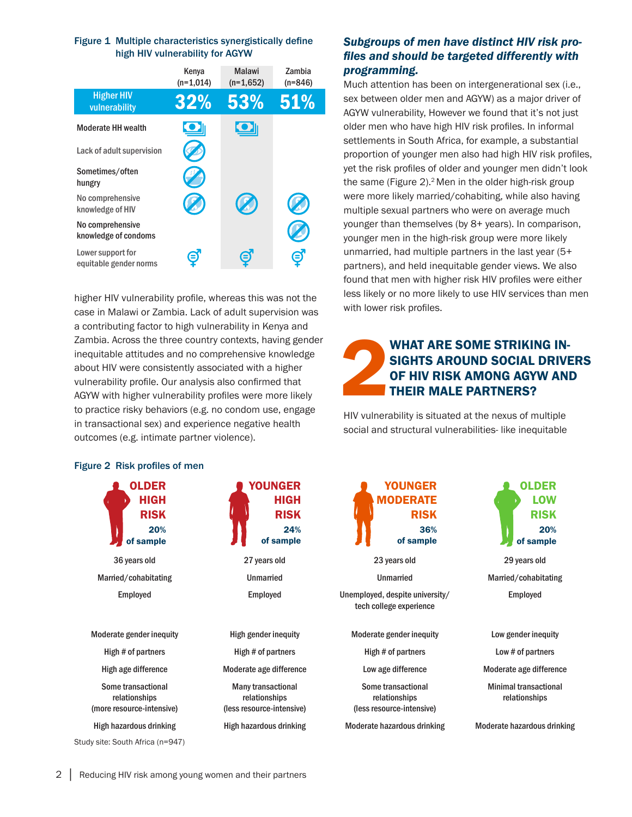#### Figure 1 Multiple characteristics synergistically define high HIV vulnerability for AGYW

|                                             | Kenya<br>$(n=1,014)$ | <b>Malawi</b><br>$(n=1.652)$ | Zambia<br>$(n=846)$ |
|---------------------------------------------|----------------------|------------------------------|---------------------|
| <b>Higher HIV</b><br>vulnerability          | 32%                  | 53%                          | 51%                 |
| <b>Moderate HH wealth</b>                   |                      |                              |                     |
| Lack of adult supervision                   |                      |                              |                     |
| Sometimes/often<br>hungry                   |                      |                              |                     |
| No comprehensive<br>knowledge of HIV        |                      |                              |                     |
| No comprehensive<br>knowledge of condoms    |                      |                              |                     |
| Lower support for<br>equitable gender norms |                      |                              |                     |

higher HIV vulnerability profile, whereas this was not the case in Malawi or Zambia. Lack of adult supervision was a contributing factor to high vulnerability in Kenya and Zambia. Across the three country contexts, having gender inequitable attitudes and no comprehensive knowledge about HIV were consistently associated with a higher vulnerability profile. Our analysis also confirmed that AGYW with higher vulnerability profiles were more likely to practice risky behaviors (e.g. no condom use, engage in transactional sex) and experience negative health outcomes (e.g. intimate partner violence).

# Figure 2 Risk profiles of men



# *Subgroups of men have distinct HIV risk profiles and should be targeted differently with programming.*

Much attention has been on intergenerational sex (i.e., sex between older men and AGYW) as a major driver of AGYW vulnerability, However we found that it's not just older men who have high HIV risk profiles. In informal settlements in South Africa, for example, a substantial proportion of younger men also had high HIV risk profiles, yet the risk profiles of older and younger men didn't look the same (Figure  $2$ ).<sup>2</sup> Men in the older high-risk group were more likely married/cohabiting, while also having multiple sexual partners who were on average much younger than themselves (by 8+ years). In comparison, younger men in the high-risk group were more likely unmarried, had multiple partners in the last year (5+ partners), and held inequitable gender views. We also found that men with higher risk HIV profiles were either less likely or no more likely to use HIV services than men with lower risk profiles.

# WHAT ARE SOME STRIKING INSIGHTS AROUND SOCIAL DRIVIOR HIV RISK AMONG AGYW AND THEIR MALE PARTNERS? SIGHTS AROUND SOCIAL DRIVERS OF HIV RISK AMONG AGYW AND THEIR MALE PARTNERS?

HIV vulnerability is situated at the nexus of multiple social and structural vulnerabilities- like inequitable

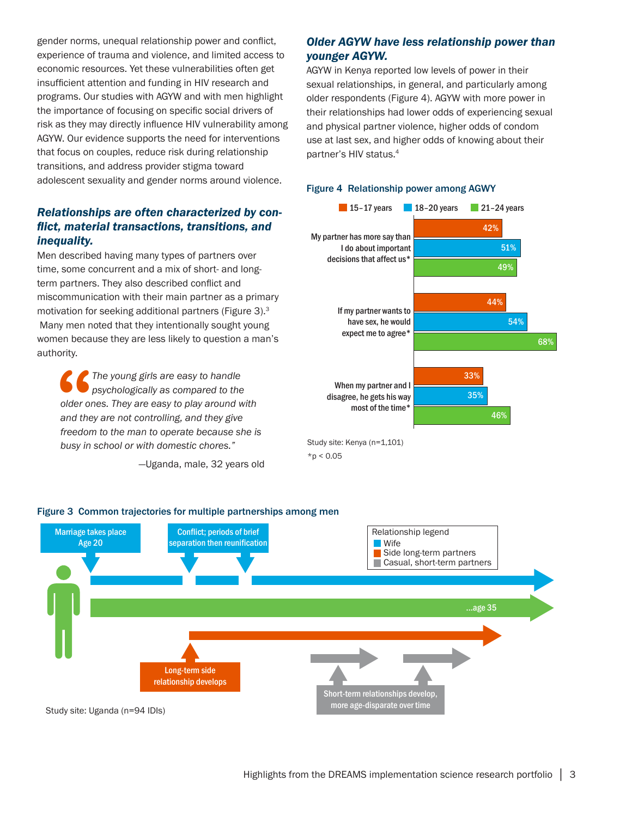gender norms, unequal relationship power and conflict, experience of trauma and violence, and limited access to economic resources. Yet these vulnerabilities often get insufficient attention and funding in HIV research and programs. Our studies with AGYW and with men highlight the importance of focusing on specific social drivers of risk as they may directly influence HIV vulnerability among AGYW. Our evidence supports the need for interventions that focus on couples, reduce risk during relationship transitions, and address provider stigma toward adolescent sexuality and gender norms around violence.

# *Relationships are often characterized by conflict, material transactions, transitions, and inequality.*

Men described having many types of partners over time, some concurrent and a mix of short- and longterm partners. They also described conflict and miscommunication with their main partner as a primary motivation for seeking additional partners (Figure 3).3 Many men noted that they intentionally sought young women because they are less likely to question a man's authority.

**S**<br>
older of<br>
and the<br>
freedor *The young girls are easy to handle psychologically as compared to the older ones. They are easy to play around with and they are not controlling, and they give freedom to the man to operate because she is busy in school or with domestic chores."* 

—Uganda, male, 32 years old

# *Older AGYW have less relationship power than younger AGYW.*

AGYW in Kenya reported low levels of power in their sexual relationships, in general, and particularly among older respondents (Figure 4). AGYW with more power in their relationships had lower odds of experiencing sexual and physical partner violence, higher odds of condom use at last sex, and higher odds of knowing about their partner's HIV status.4

#### Figure 4 Relationship power among AGWY



 $*$ p < 0.05



#### Figure 3 Common trajectories for multiple partnerships among men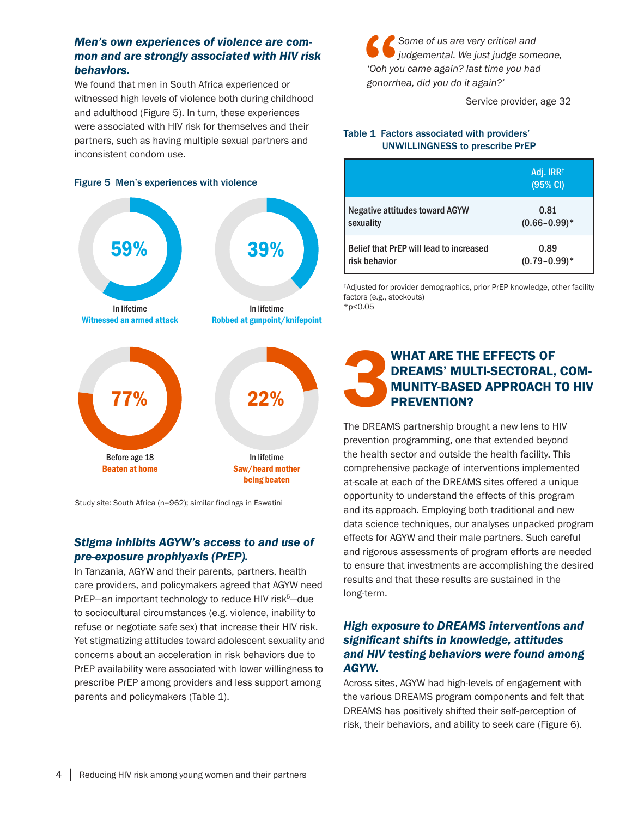# *Men's own experiences of violence are common and are strongly associated with HIV risk behaviors.*

We found that men in South Africa experienced or witnessed high levels of violence both during childhood and adulthood (Figure 5). In turn, these experiences were associated with HIV risk for themselves and their partners, such as having multiple sexual partners and inconsistent condom use.

#### Figure 5 Men's experiences with violence



Study site: South Africa (n=962); similar findings in Eswatini

# *Stigma inhibits AGYW's access to and use of pre-exposure prophlyaxis (PrEP).*

In Tanzania, AGYW and their parents, partners, health care providers, and policymakers agreed that AGYW need PrEP—an important technology to reduce HIV risk<sup>5</sup>—due to sociocultural circumstances (e.g. violence, inability to refuse or negotiate safe sex) that increase their HIV risk. Yet stigmatizing attitudes toward adolescent sexuality and concerns about an acceleration in risk behaviors due to PrEP availability were associated with lower willingness to prescribe PrEP among providers and less support among parents and policymakers (Table 1).

**66**<br>
"Ooh yo<br>
gonorri *Some of us are very critical and judgemental. We just judge someone, 'Ooh you came again? last time you had gonorrhea, did you do it again?'*

Service provider, age 32

#### Table 1 Factors associated with providers' UNWILLINGNESS to prescribe PrEP

|                                         | Adj. IRR <sup>†</sup><br>(95% CI) |
|-----------------------------------------|-----------------------------------|
| <b>Negative attitudes toward AGYW</b>   | 0.81                              |
| sexuality                               | $(0.66 - 0.99)^*$                 |
| Belief that PrEP will lead to increased | 0.89                              |
| risk behavior                           | $(0.79 - 0.99)^*$                 |

†Adjusted for provider demographics, prior PrEP knowledge, other facility factors (e.g., stockouts)  $*p<0.05$ 

# WHAT ARE THE EFFECTS OF<br>DREAMS' MULTI-SECTORAL,<br>MUNITY-BASED APPROACH IN PREVENTION? DREAMS' MULTI-SECTORAL, COM-MUNITY-BASED APPROACH TO HIV PREVENTION?

The DREAMS partnership brought a new lens to HIV prevention programming, one that extended beyond the health sector and outside the health facility. This comprehensive package of interventions implemented at-scale at each of the DREAMS sites offered a unique opportunity to understand the effects of this program and its approach. Employing both traditional and new data science techniques, our analyses unpacked program effects for AGYW and their male partners. Such careful and rigorous assessments of program efforts are needed to ensure that investments are accomplishing the desired results and that these results are sustained in the long-term.

# *High exposure to DREAMS interventions and significant shifts in knowledge, attitudes and HIV testing behaviors were found among AGYW.*

Across sites, AGYW had high-levels of engagement with the various DREAMS program components and felt that DREAMS has positively shifted their self-perception of risk, their behaviors, and ability to seek care (Figure 6).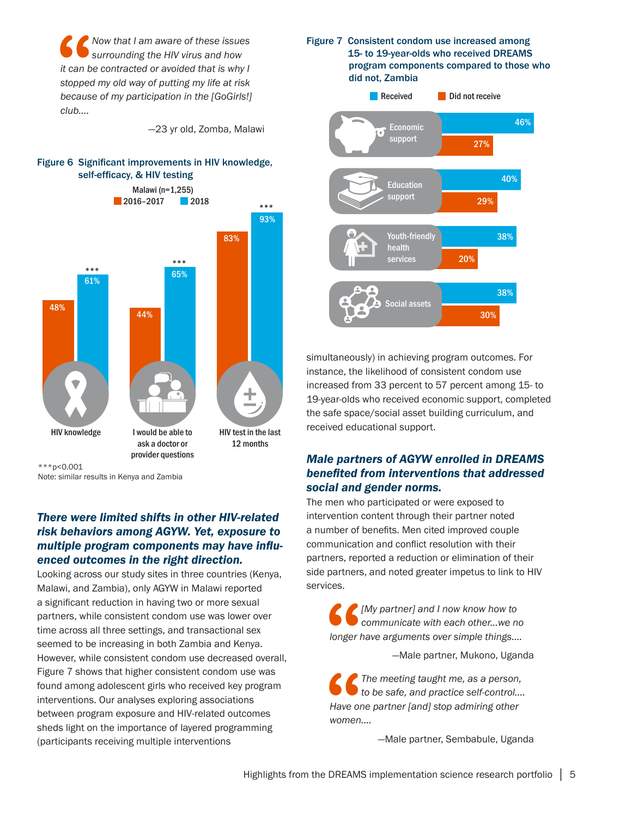**1** Now that I am aware of these issues<br>
surrounding the HIV virus and how<br>
it can be contracted or avoided that is why I<br>
stopped my old way of putting my life at risk<br>
because of my participation in the [GoGirls!] *Now that I am aware of these issues surrounding the HIV virus and how it can be contracted or avoided that is why I stopped my old way of putting my life at risk club….* 

—23 yr old, Zomba, Malawi

#### Figure 6 Significant improvements in HIV knowledge, self-efficacy, & HIV testing



\*\*\*p<0.001

Note: similar results in Kenya and Zambia

# *There were limited shifts in other HIV-related risk behaviors among AGYW. Yet, exposure to multiple program components may have influenced outcomes in the right direction.*

Looking across our study sites in three countries (Kenya, Malawi, and Zambia), only AGYW in Malawi reported a significant reduction in having two or more sexual partners, while consistent condom use was lower over time across all three settings, and transactional sex seemed to be increasing in both Zambia and Kenya. However, while consistent condom use decreased overall, Figure 7 shows that higher consistent condom use was found among adolescent girls who received key program interventions. Our analyses exploring associations between program exposure and HIV-related outcomes sheds light on the importance of layered programming (participants receiving multiple interventions

#### Figure 7 Consistent condom use increased among 15- to 19-year-olds who received DREAMS program components compared to those who did not, Zambia



simultaneously) in achieving program outcomes. For instance, the likelihood of consistent condom use increased from 33 percent to 57 percent among 15- to 19-year-olds who received economic support, completed the safe space/social asset building curriculum, and received educational support.

# *Male partners of AGYW enrolled in DREAMS benefited from interventions that addressed social and gender norms.*

The men who participated or were exposed to intervention content through their partner noted a number of benefits. Men cited improved couple communication and conflict resolution with their partners, reported a reduction or elimination of their side partners, and noted greater impetus to link to HIV services.

**66**<br> **Conger** *[My partner] and I now know how to communicate with each other...we no longer have arguments over simple things....*

—Male partner, Mukono, Uganda

**S**<br>
Have of<br>
women *The meeting taught me, as a person, to be safe, and practice self-control.... Have one partner [and] stop admiring other women....*

—Male partner, Sembabule, Uganda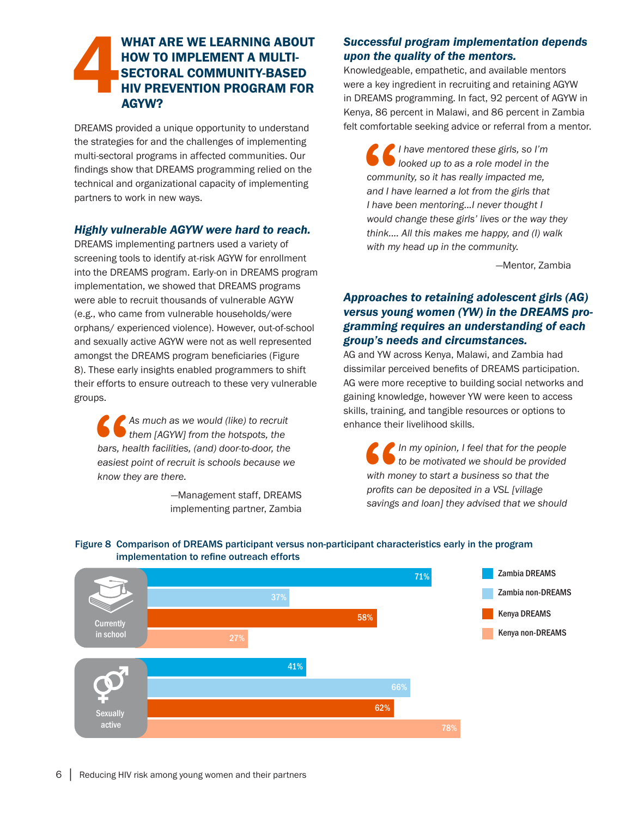# 4WHAT ARE WE LEARNING ABOUT HOW TO IMPLEMENT A MULTI-SECTORAL COMMUNITY-BASED HIV PREVENTION PROGRAM FOR AGYW?

DREAMS provided a unique opportunity to understand the strategies for and the challenges of implementing multi-sectoral programs in affected communities. Our findings show that DREAMS programming relied on the technical and organizational capacity of implementing partners to work in new ways.

# *Highly vulnerable AGYW were hard to reach.*

DREAMS implementing partners used a variety of screening tools to identify at-risk AGYW for enrollment into the DREAMS program. Early-on in DREAMS program implementation, we showed that DREAMS programs were able to recruit thousands of vulnerable AGYW (e.g., who came from vulnerable households/were orphans/ experienced violence). However, out-of-school and sexually active AGYW were not as well represented amongst the DREAMS program beneficiaries (Figure 8). These early insights enabled programmers to shift their efforts to ensure outreach to these very vulnerable groups.

**66**<br>bars, he<br>easiest<br>know th *As much as we would (like) to recruit them [AGYW] from the hotspots, the bars, health facilities, (and) door-to-door, the easiest point of recruit is schools because we know they are there.*

> —Management staff, DREAMS implementing partner, Zambia

# *Successful program implementation depends upon the quality of the mentors.*

Knowledgeable, empathetic, and available mentors were a key ingredient in recruiting and retaining AGYW in DREAMS programming. In fact, 92 percent of AGYW in Kenya, 86 percent in Malawi, and 86 percent in Zambia felt comfortable seeking advice or referral from a mentor.

**66**<br>commu<br>and I have t *I have mentored these girls, so I'm looked up to as a role model in the community, so it has really impacted me, and I have learned a lot from the girls that I have been mentoring...I never thought I would change these girls' lives or the way they think.... All this makes me happy, and (I) walk with my head up in the community.* 

—Mentor, Zambia

# *Approaches to retaining adolescent girls (AG) versus young women (YW) in the DREAMS programming requires an understanding of each group's needs and circumstances.*

AG and YW across Kenya, Malawi, and Zambia had dissimilar perceived benefits of DREAMS participation. AG were more receptive to building social networks and gaining knowledge, however YW were keen to access skills, training, and tangible resources or options to enhance their livelihood skills.

**S**<br>with me<br>profits exavings *In my opinion, I feel that for the people to be motivated we should be provided with money to start a business so that the profits can be deposited in a VSL [village savings and loan] they advised that we should* 



#### Figure 8 Comparison of DREAMS participant versus non-participant characteristics early in the program implementation to refine outreach efforts early in the prop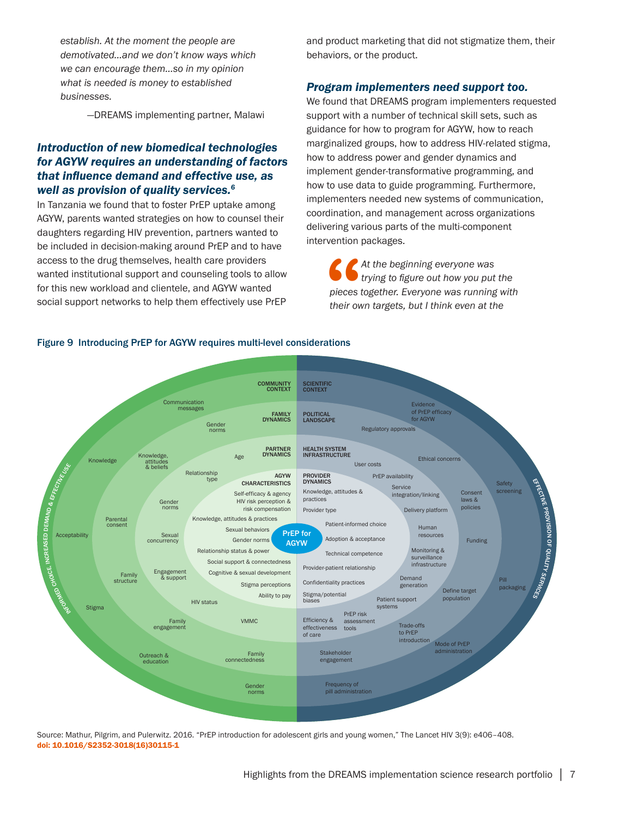*establish. At the moment the people are demotivated…and we don't know ways which we can encourage them…so in my opinion what is needed is money to established businesses.*

—DREAMS implementing partner, Malawi

# *Introduction of new biomedical technologies for AGYW requires an understanding of factors that influence demand and effective use, as well as provision of quality services.<sup>6</sup>*

In Tanzania we found that to foster PrEP uptake among AGYW, parents wanted strategies on how to counsel their daughters regarding HIV prevention, partners wanted to be included in decision-making around PrEP and to have access to the drug themselves, health care providers wanted institutional support and counseling tools to allow for this new workload and clientele, and AGYW wanted social support networks to help them effectively use PrEP

and product marketing that did not stigmatize them, their behaviors, or the product.

#### *Program implementers need support too.*

We found that DREAMS program implementers requested support with a number of technical skill sets, such as guidance for how to program for AGYW, how to reach marginalized groups, how to address HIV-related stigma, how to address power and gender dynamics and implement gender-transformative programming, and how to use data to guide programming. Furthermore, implementers needed new systems of communication, coordination, and management across organizations delivering various parts of the multi-component intervention packages.

**S**<br>pieces<br>their ov *At the beginning everyone was trying to figure out how you put the pieces together. Everyone was running with their own targets, but I think even at the* 



Figure 9 Introducing PrEP for AGYW requires multi-level considerations

Source: Mathur, Pilgrim, and Pulerwitz. 2016. "PrEP introduction for adolescent girls and young women," The Lancet HIV 3(9): e406–408. [doi: 10.1016/S2352-3018\(16\)30115-1](https://doi.org/10.1016/S2352-3018(16)30115-1)